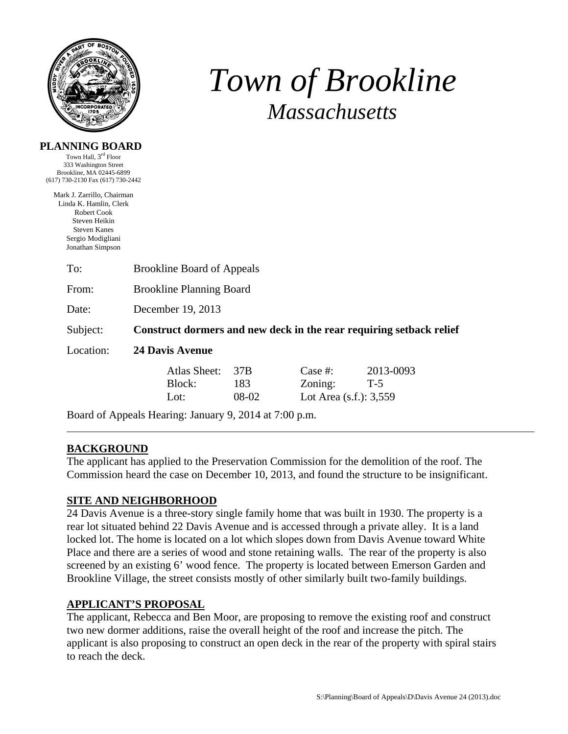

**PLANNING BOARD** 

# *Town of Brookline Massachusetts*

| Town Hall, 3 <sup>rd</sup> Floor  |  |
|-----------------------------------|--|
| 333 Washington Street             |  |
| Brookline, MA 02445-6899          |  |
| (617) 730-2130 Fax (617) 730-2442 |  |
| Mark J. Zarrillo, Chairman        |  |
| Linda K. Hamlin, Clerk            |  |
| Robert Cook                       |  |

Robert Cook Steven Heikin Steven Kanes Sergio Modigliani Jonathan Simpson

| To:       | <b>Brookline Board of Appeals</b>                                   |                     |                                                 |                    |  |  |
|-----------|---------------------------------------------------------------------|---------------------|-------------------------------------------------|--------------------|--|--|
| From:     | <b>Brookline Planning Board</b>                                     |                     |                                                 |                    |  |  |
| Date:     | December 19, 2013                                                   |                     |                                                 |                    |  |  |
| Subject:  | Construct dormers and new deck in the rear requiring setback relief |                     |                                                 |                    |  |  |
| Location: | <b>24 Davis Avenue</b>                                              |                     |                                                 |                    |  |  |
|           | Atlas Sheet:<br>Block:<br>Lot:                                      | 37B<br>183<br>08-02 | Case #:<br>Zoning:<br>Lot Area $(s.f.)$ : 3,559 | 2013-0093<br>$T-5$ |  |  |

Board of Appeals Hearing: January 9, 2014 at 7:00 p.m.

# **BACKGROUND**

The applicant has applied to the Preservation Commission for the demolition of the roof. The Commission heard the case on December 10, 2013, and found the structure to be insignificant.

# **SITE AND NEIGHBORHOOD**

24 Davis Avenue is a three-story single family home that was built in 1930. The property is a rear lot situated behind 22 Davis Avenue and is accessed through a private alley. It is a land locked lot. The home is located on a lot which slopes down from Davis Avenue toward White Place and there are a series of wood and stone retaining walls. The rear of the property is also screened by an existing 6' wood fence. The property is located between Emerson Garden and Brookline Village, the street consists mostly of other similarly built two-family buildings.

# **APPLICANT'S PROPOSAL**

The applicant, Rebecca and Ben Moor, are proposing to remove the existing roof and construct two new dormer additions, raise the overall height of the roof and increase the pitch. The applicant is also proposing to construct an open deck in the rear of the property with spiral stairs to reach the deck.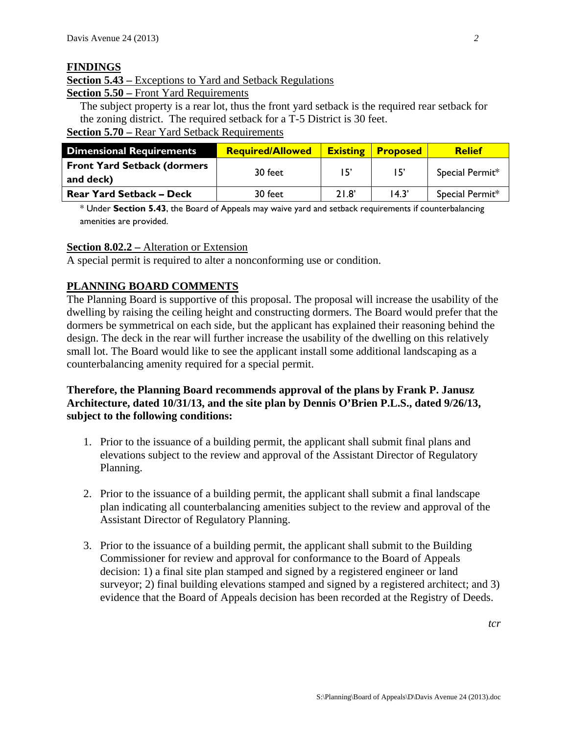#### **FINDINGS**

# **Section 5.43 –** Exceptions to Yard and Setback Regulations

**Section 5.50 –** Front Yard Requirements

The subject property is a rear lot, thus the front yard setback is the required rear setback for the zoning district. The required setback for a T-5 District is 30 feet. **Section 5.70 –** Rear Yard Setback Requirements

| <b>Dimensional Requirements</b>                  | <b>Required/Allowed</b> | <b>Existing</b> | <b>Proposed</b> | <b>Relief</b>   |
|--------------------------------------------------|-------------------------|-----------------|-----------------|-----------------|
| <b>Front Yard Setback (dormers)</b><br>and deck) | 30 feet                 | 15'             | 15'             | Special Permit* |
| <b>Rear Yard Setback - Deck</b>                  | 30 feet                 | 21.8'           | 14.3'           | Special Permit* |

\* Under **Section 5.43**, the Board of Appeals may waive yard and setback requirements if counterbalancing amenities are provided.

#### **Section 8.02.2 –** Alteration or Extension

A special permit is required to alter a nonconforming use or condition.

## **PLANNING BOARD COMMENTS**

The Planning Board is supportive of this proposal. The proposal will increase the usability of the dwelling by raising the ceiling height and constructing dormers. The Board would prefer that the dormers be symmetrical on each side, but the applicant has explained their reasoning behind the design. The deck in the rear will further increase the usability of the dwelling on this relatively small lot. The Board would like to see the applicant install some additional landscaping as a counterbalancing amenity required for a special permit.

## **Therefore, the Planning Board recommends approval of the plans by Frank P. Janusz Architecture, dated 10/31/13, and the site plan by Dennis O'Brien P.L.S., dated 9/26/13, subject to the following conditions:**

- 1. Prior to the issuance of a building permit, the applicant shall submit final plans and elevations subject to the review and approval of the Assistant Director of Regulatory Planning.
- 2. Prior to the issuance of a building permit, the applicant shall submit a final landscape plan indicating all counterbalancing amenities subject to the review and approval of the Assistant Director of Regulatory Planning.
- 3. Prior to the issuance of a building permit, the applicant shall submit to the Building Commissioner for review and approval for conformance to the Board of Appeals decision: 1) a final site plan stamped and signed by a registered engineer or land surveyor; 2) final building elevations stamped and signed by a registered architect; and 3) evidence that the Board of Appeals decision has been recorded at the Registry of Deeds.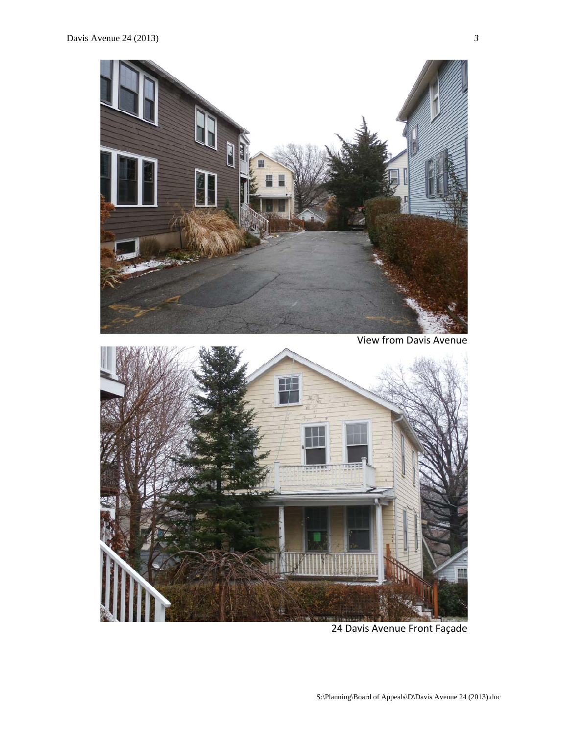

24 Davis Avenue Front Façade